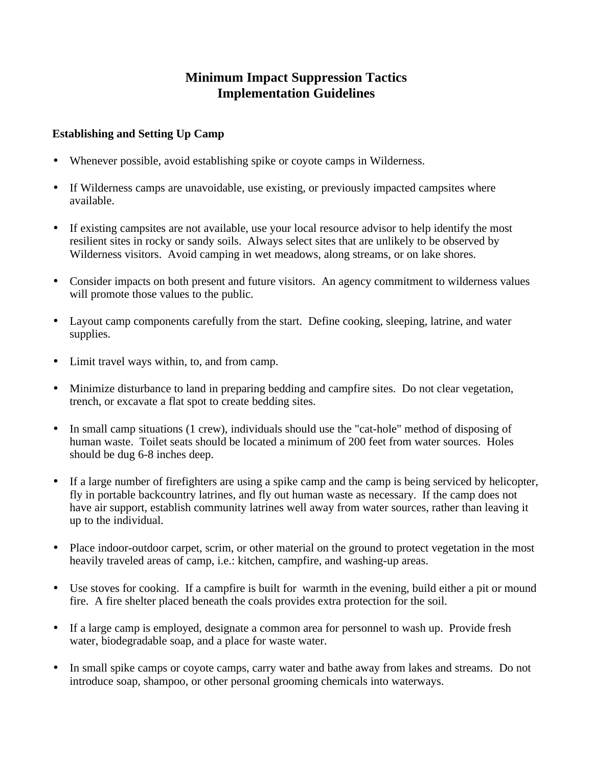# **Minimum Impact Suppression Tactics Implementation Guidelines**

#### **Establishing and Setting Up Camp**

- Whenever possible, avoid establishing spike or coyote camps in Wilderness.
- If Wilderness camps are unavoidable, use existing, or previously impacted campsites where available.
- · If existing campsites are not available, use your local resource advisor to help identify the most resilient sites in rocky or sandy soils. Always select sites that are unlikely to be observed by Wilderness visitors. Avoid camping in wet meadows, along streams, or on lake shores.
- Consider impacts on both present and future visitors. An agency commitment to wilderness values will promote those values to the public.
- · Layout camp components carefully from the start. Define cooking, sleeping, latrine, and water supplies.
- · Limit travel ways within, to, and from camp.
- · Minimize disturbance to land in preparing bedding and campfire sites. Do not clear vegetation, trench, or excavate a flat spot to create bedding sites.
- · In small camp situations (1 crew), individuals should use the "cat-hole" method of disposing of human waste. Toilet seats should be located a minimum of 200 feet from water sources. Holes should be dug 6-8 inches deep.
- · If a large number of firefighters are using a spike camp and the camp is being serviced by helicopter, fly in portable backcountry latrines, and fly out human waste as necessary. If the camp does not have air support, establish community latrines well away from water sources, rather than leaving it up to the individual.
- Place indoor-outdoor carpet, scrim, or other material on the ground to protect vegetation in the most heavily traveled areas of camp, i.e.: kitchen, campfire, and washing-up areas.
- Use stoves for cooking. If a campfire is built for warmth in the evening, build either a pit or mound fire. A fire shelter placed beneath the coals provides extra protection for the soil.
- If a large camp is employed, designate a common area for personnel to wash up. Provide fresh water, biodegradable soap, and a place for waste water.
- · In small spike camps or coyote camps, carry water and bathe away from lakes and streams. Do not introduce soap, shampoo, or other personal grooming chemicals into waterways.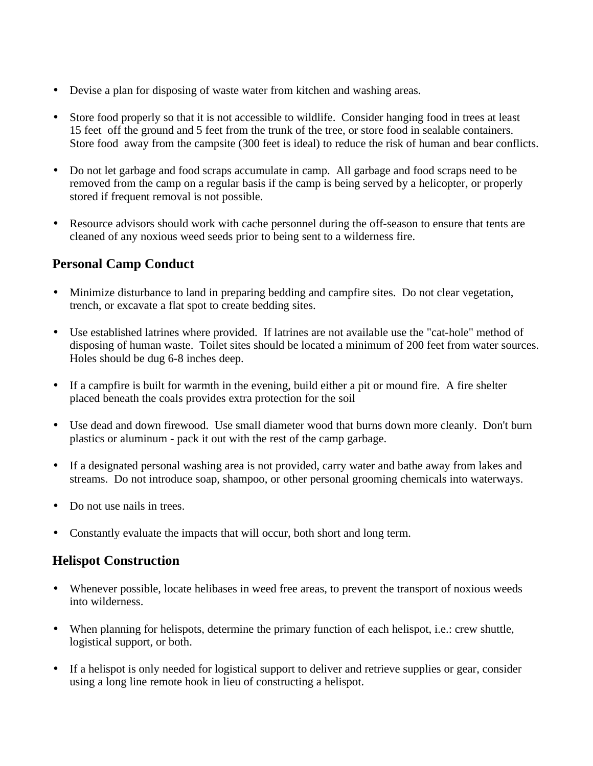- Devise a plan for disposing of waste water from kitchen and washing areas.
- Store food properly so that it is not accessible to wildlife. Consider hanging food in trees at least 15 feet off the ground and 5 feet from the trunk of the tree, or store food in sealable containers. Store food away from the campsite (300 feet is ideal) to reduce the risk of human and bear conflicts.
- · Do not let garbage and food scraps accumulate in camp. All garbage and food scraps need to be removed from the camp on a regular basis if the camp is being served by a helicopter, or properly stored if frequent removal is not possible.
- Resource advisors should work with cache personnel during the off-season to ensure that tents are cleaned of any noxious weed seeds prior to being sent to a wilderness fire.

# **Personal Camp Conduct**

- Minimize disturbance to land in preparing bedding and campfire sites. Do not clear vegetation, trench, or excavate a flat spot to create bedding sites.
- · Use established latrines where provided. If latrines are not available use the "cat-hole" method of disposing of human waste. Toilet sites should be located a minimum of 200 feet from water sources. Holes should be dug 6-8 inches deep.
- If a campfire is built for warmth in the evening, build either a pit or mound fire. A fire shelter placed beneath the coals provides extra protection for the soil
- · Use dead and down firewood. Use small diameter wood that burns down more cleanly. Don't burn plastics or aluminum - pack it out with the rest of the camp garbage.
- If a designated personal washing area is not provided, carry water and bathe away from lakes and streams. Do not introduce soap, shampoo, or other personal grooming chemicals into waterways.
- Do not use nails in trees.
- Constantly evaluate the impacts that will occur, both short and long term.

## **Helispot Construction**

- · Whenever possible, locate helibases in weed free areas, to prevent the transport of noxious weeds into wilderness.
- When planning for helispots, determine the primary function of each helispot, i.e.: crew shuttle, logistical support, or both.
- If a helispot is only needed for logistical support to deliver and retrieve supplies or gear, consider using a long line remote hook in lieu of constructing a helispot.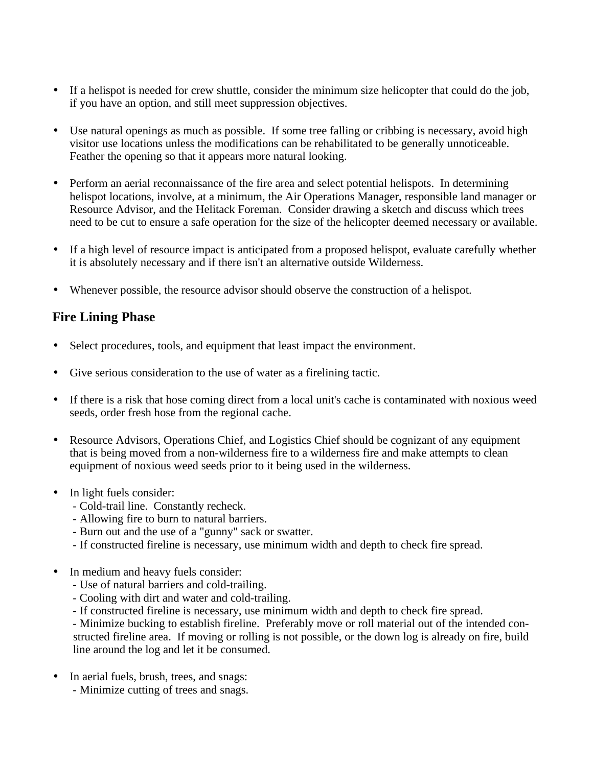- If a helispot is needed for crew shuttle, consider the minimum size helicopter that could do the job, if you have an option, and still meet suppression objectives.
- Use natural openings as much as possible. If some tree falling or cribbing is necessary, avoid high visitor use locations unless the modifications can be rehabilitated to be generally unnoticeable. Feather the opening so that it appears more natural looking.
- · Perform an aerial reconnaissance of the fire area and select potential helispots. In determining helispot locations, involve, at a minimum, the Air Operations Manager, responsible land manager or Resource Advisor, and the Helitack Foreman. Consider drawing a sketch and discuss which trees need to be cut to ensure a safe operation for the size of the helicopter deemed necessary or available.
- If a high level of resource impact is anticipated from a proposed helispot, evaluate carefully whether it is absolutely necessary and if there isn't an alternative outside Wilderness.
- Whenever possible, the resource advisor should observe the construction of a helispot.

#### **Fire Lining Phase**

- Select procedures, tools, and equipment that least impact the environment.
- Give serious consideration to the use of water as a firelining tactic.
- If there is a risk that hose coming direct from a local unit's cache is contaminated with noxious weed seeds, order fresh hose from the regional cache.
- · Resource Advisors, Operations Chief, and Logistics Chief should be cognizant of any equipment that is being moved from a non-wilderness fire to a wilderness fire and make attempts to clean equipment of noxious weed seeds prior to it being used in the wilderness.
- In light fuels consider:
	- Cold-trail line. Constantly recheck.
	- Allowing fire to burn to natural barriers.
	- Burn out and the use of a "gunny" sack or swatter.
	- If constructed fireline is necessary, use minimum width and depth to check fire spread.
- In medium and heavy fuels consider:
	- Use of natural barriers and cold-trailing.
	- Cooling with dirt and water and cold-trailing.
	- If constructed fireline is necessary, use minimum width and depth to check fire spread.

 - Minimize bucking to establish fireline. Preferably move or roll material out of the intended constructed fireline area. If moving or rolling is not possible, or the down log is already on fire, build line around the log and let it be consumed.

- In aerial fuels, brush, trees, and snags:
	- Minimize cutting of trees and snags.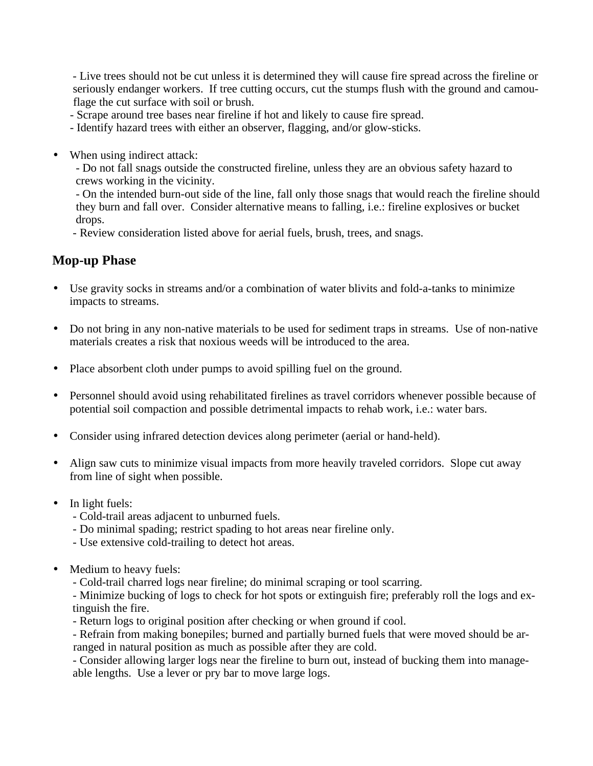- Live trees should not be cut unless it is determined they will cause fire spread across the fireline or seriously endanger workers. If tree cutting occurs, cut the stumps flush with the ground and camouflage the cut surface with soil or brush.

- Scrape around tree bases near fireline if hot and likely to cause fire spread.
- Identify hazard trees with either an observer, flagging, and/or glow-sticks.
- When using indirect attack:

 - Do not fall snags outside the constructed fireline, unless they are an obvious safety hazard to crews working in the vicinity.

 - On the intended burn-out side of the line, fall only those snags that would reach the fireline should they burn and fall over. Consider alternative means to falling, i.e.: fireline explosives or bucket drops.

- Review consideration listed above for aerial fuels, brush, trees, and snags.

## **Mop-up Phase**

- Use gravity socks in streams and/or a combination of water blivits and fold-a-tanks to minimize impacts to streams.
- · Do not bring in any non-native materials to be used for sediment traps in streams. Use of non-native materials creates a risk that noxious weeds will be introduced to the area.
- · Place absorbent cloth under pumps to avoid spilling fuel on the ground.
- · Personnel should avoid using rehabilitated firelines as travel corridors whenever possible because of potential soil compaction and possible detrimental impacts to rehab work, i.e.: water bars.
- · Consider using infrared detection devices along perimeter (aerial or hand-held).
- Align saw cuts to minimize visual impacts from more heavily traveled corridors. Slope cut away from line of sight when possible.
- In light fuels:
	- Cold-trail areas adjacent to unburned fuels.
	- Do minimal spading; restrict spading to hot areas near fireline only.
	- Use extensive cold-trailing to detect hot areas.
- Medium to heavy fuels:

- Cold-trail charred logs near fireline; do minimal scraping or tool scarring.

 - Minimize bucking of logs to check for hot spots or extinguish fire; preferably roll the logs and extinguish the fire.

- Return logs to original position after checking or when ground if cool.

 - Refrain from making bonepiles; burned and partially burned fuels that were moved should be arranged in natural position as much as possible after they are cold.

 - Consider allowing larger logs near the fireline to burn out, instead of bucking them into manage able lengths. Use a lever or pry bar to move large logs.